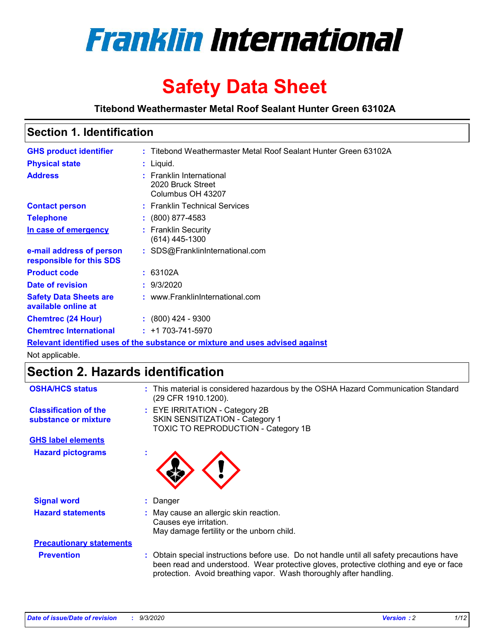

# **Safety Data Sheet**

**Titebond Weathermaster Metal Roof Sealant Hunter Green 63102A**

# **Section 1. Identification**

| <b>GHS product identifier</b>                        | : Titebond Weathermaster Metal Roof Sealant Hunter Green 63102A               |
|------------------------------------------------------|-------------------------------------------------------------------------------|
| <b>Physical state</b>                                | $:$ Liquid.                                                                   |
| <b>Address</b>                                       | : Franklin International<br>2020 Bruck Street<br>Columbus OH 43207            |
| <b>Contact person</b>                                | : Franklin Technical Services                                                 |
| <b>Telephone</b>                                     | $\colon$ (800) 877-4583                                                       |
| In case of emergency                                 | : Franklin Security<br>(614) 445-1300                                         |
| e-mail address of person<br>responsible for this SDS | : SDS@FranklinInternational.com                                               |
| <b>Product code</b>                                  | : 63102A                                                                      |
| Date of revision                                     | : 9/3/2020                                                                    |
| <b>Safety Data Sheets are</b><br>available online at | : www.FranklinInternational.com                                               |
| <b>Chemtrec (24 Hour)</b>                            | $\div$ (800) 424 - 9300                                                       |
| <b>Chemtrec International</b>                        | $: +1703 - 741 - 5970$                                                        |
|                                                      | Relevant identified uses of the substance or mixture and uses advised against |

Not applicable.

# **Section 2. Hazards identification**

| <b>OSHA/HCS status</b>                               | : This material is considered hazardous by the OSHA Hazard Communication Standard<br>(29 CFR 1910.1200).                                                                                                                                                 |  |  |
|------------------------------------------------------|----------------------------------------------------------------------------------------------------------------------------------------------------------------------------------------------------------------------------------------------------------|--|--|
| <b>Classification of the</b><br>substance or mixture | : EYE IRRITATION - Category 2B<br>SKIN SENSITIZATION - Category 1<br>TOXIC TO REPRODUCTION - Category 1B                                                                                                                                                 |  |  |
| <b>GHS label elements</b>                            |                                                                                                                                                                                                                                                          |  |  |
| <b>Hazard pictograms</b>                             |                                                                                                                                                                                                                                                          |  |  |
| <b>Signal word</b>                                   | : Danger                                                                                                                                                                                                                                                 |  |  |
| <b>Hazard statements</b>                             | : May cause an allergic skin reaction.<br>Causes eye irritation.<br>May damage fertility or the unborn child.                                                                                                                                            |  |  |
| <b>Precautionary statements</b>                      |                                                                                                                                                                                                                                                          |  |  |
| <b>Prevention</b>                                    | : Obtain special instructions before use. Do not handle until all safety precautions have<br>been read and understood. Wear protective gloves, protective clothing and eye or face<br>protection. Avoid breathing vapor. Wash thoroughly after handling. |  |  |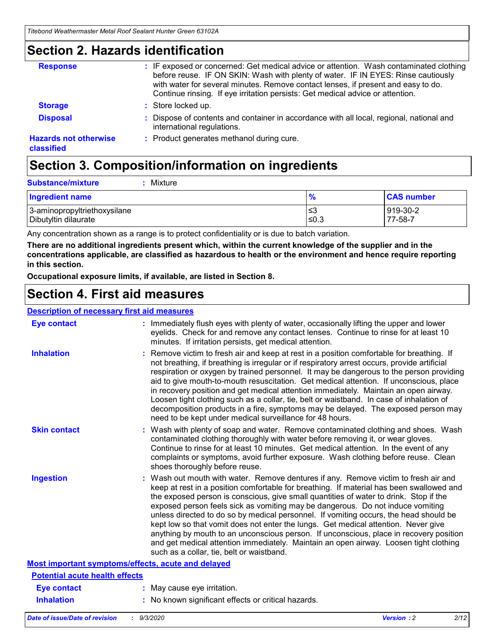### **Section 2. Hazards identification**

| <b>Response</b>                            | : IF exposed or concerned: Get medical advice or attention. Wash contaminated clothing<br>before reuse. IF ON SKIN: Wash with plenty of water. IF IN EYES: Rinse cautiously<br>with water for several minutes. Remove contact lenses, if present and easy to do.<br>Continue rinsing. If eye irritation persists: Get medical advice or attention. |
|--------------------------------------------|----------------------------------------------------------------------------------------------------------------------------------------------------------------------------------------------------------------------------------------------------------------------------------------------------------------------------------------------------|
| <b>Storage</b>                             | : Store locked up.                                                                                                                                                                                                                                                                                                                                 |
| <b>Disposal</b>                            | : Dispose of contents and container in accordance with all local, regional, national and<br>international regulations.                                                                                                                                                                                                                             |
| <b>Hazards not otherwise</b><br>classified | : Product generates methanol during cure.                                                                                                                                                                                                                                                                                                          |

# **Section 3. Composition/information on ingredients**

| <b>Substance/mixture</b> | : Mixture |
|--------------------------|-----------|
|                          |           |

| <b>Ingredient name</b>       | 70   | <b>CAS number</b> |
|------------------------------|------|-------------------|
| 3-aminopropyltriethoxysilane | צ≥   | 919-30-2          |
| Dibutyltin dilaurate         | ≤0.3 | 77-58-7           |

Any concentration shown as a range is to protect confidentiality or is due to batch variation.

**There are no additional ingredients present which, within the current knowledge of the supplier and in the concentrations applicable, are classified as hazardous to health or the environment and hence require reporting in this section.**

**Occupational exposure limits, if available, are listed in Section 8.**

### **Section 4. First aid measures**

| <b>Description of necessary first aid measures</b> |                                                                                                                                                                                                                                                                                                                                                                                                                                                                                                                                                                                                                                                                                                                                                                           |
|----------------------------------------------------|---------------------------------------------------------------------------------------------------------------------------------------------------------------------------------------------------------------------------------------------------------------------------------------------------------------------------------------------------------------------------------------------------------------------------------------------------------------------------------------------------------------------------------------------------------------------------------------------------------------------------------------------------------------------------------------------------------------------------------------------------------------------------|
| <b>Eye contact</b>                                 | : Immediately flush eyes with plenty of water, occasionally lifting the upper and lower<br>eyelids. Check for and remove any contact lenses. Continue to rinse for at least 10<br>minutes. If irritation persists, get medical attention.                                                                                                                                                                                                                                                                                                                                                                                                                                                                                                                                 |
| <b>Inhalation</b>                                  | : Remove victim to fresh air and keep at rest in a position comfortable for breathing. If<br>not breathing, if breathing is irregular or if respiratory arrest occurs, provide artificial<br>respiration or oxygen by trained personnel. It may be dangerous to the person providing<br>aid to give mouth-to-mouth resuscitation. Get medical attention. If unconscious, place<br>in recovery position and get medical attention immediately. Maintain an open airway.<br>Loosen tight clothing such as a collar, tie, belt or waistband. In case of inhalation of<br>decomposition products in a fire, symptoms may be delayed. The exposed person may<br>need to be kept under medical surveillance for 48 hours.                                                       |
| <b>Skin contact</b>                                | : Wash with plenty of soap and water. Remove contaminated clothing and shoes. Wash<br>contaminated clothing thoroughly with water before removing it, or wear gloves.<br>Continue to rinse for at least 10 minutes. Get medical attention. In the event of any<br>complaints or symptoms, avoid further exposure. Wash clothing before reuse. Clean<br>shoes thoroughly before reuse.                                                                                                                                                                                                                                                                                                                                                                                     |
| <b>Ingestion</b>                                   | : Wash out mouth with water. Remove dentures if any. Remove victim to fresh air and<br>keep at rest in a position comfortable for breathing. If material has been swallowed and<br>the exposed person is conscious, give small quantities of water to drink. Stop if the<br>exposed person feels sick as vomiting may be dangerous. Do not induce vomiting<br>unless directed to do so by medical personnel. If vomiting occurs, the head should be<br>kept low so that vomit does not enter the lungs. Get medical attention. Never give<br>anything by mouth to an unconscious person. If unconscious, place in recovery position<br>and get medical attention immediately. Maintain an open airway. Loosen tight clothing<br>such as a collar, tie, belt or waistband. |
| Most important symptoms/effects, acute and delayed |                                                                                                                                                                                                                                                                                                                                                                                                                                                                                                                                                                                                                                                                                                                                                                           |
| <b>Potential acute health effects</b>              |                                                                                                                                                                                                                                                                                                                                                                                                                                                                                                                                                                                                                                                                                                                                                                           |
| Eye contact                                        | : May cause eye irritation.                                                                                                                                                                                                                                                                                                                                                                                                                                                                                                                                                                                                                                                                                                                                               |
| <b>Inhalation</b>                                  | : No known significant effects or critical hazards.                                                                                                                                                                                                                                                                                                                                                                                                                                                                                                                                                                                                                                                                                                                       |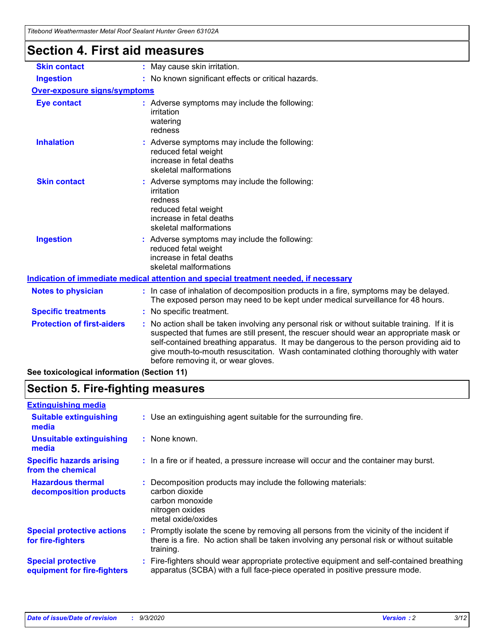| ilgoonu wcanchiasici wciai iyou scaiant hunici sicch os iyzr<br><b>Section 4. First aid measures</b> |                                                                                                                                                                                                                                                                                                                                                                                                                 |  |  |  |                     |                              |
|------------------------------------------------------------------------------------------------------|-----------------------------------------------------------------------------------------------------------------------------------------------------------------------------------------------------------------------------------------------------------------------------------------------------------------------------------------------------------------------------------------------------------------|--|--|--|---------------------|------------------------------|
|                                                                                                      |                                                                                                                                                                                                                                                                                                                                                                                                                 |  |  |  | <b>Skin contact</b> | : May cause skin irritation. |
| <b>Ingestion</b>                                                                                     | : No known significant effects or critical hazards.                                                                                                                                                                                                                                                                                                                                                             |  |  |  |                     |                              |
| <b>Over-exposure signs/symptoms</b>                                                                  |                                                                                                                                                                                                                                                                                                                                                                                                                 |  |  |  |                     |                              |
| <b>Eye contact</b>                                                                                   | : Adverse symptoms may include the following:<br>irritation<br>watering<br>redness                                                                                                                                                                                                                                                                                                                              |  |  |  |                     |                              |
| <b>Inhalation</b>                                                                                    | : Adverse symptoms may include the following:<br>reduced fetal weight<br>increase in fetal deaths<br>skeletal malformations                                                                                                                                                                                                                                                                                     |  |  |  |                     |                              |
| <b>Skin contact</b>                                                                                  | : Adverse symptoms may include the following:<br>irritation<br>redness<br>reduced fetal weight<br>increase in fetal deaths<br>skeletal malformations                                                                                                                                                                                                                                                            |  |  |  |                     |                              |
| <b>Ingestion</b>                                                                                     | : Adverse symptoms may include the following:<br>reduced fetal weight<br>increase in fetal deaths<br>skeletal malformations                                                                                                                                                                                                                                                                                     |  |  |  |                     |                              |
| Indication of immediate medical attention and special treatment needed, if necessary                 |                                                                                                                                                                                                                                                                                                                                                                                                                 |  |  |  |                     |                              |
| <b>Notes to physician</b>                                                                            | : In case of inhalation of decomposition products in a fire, symptoms may be delayed.<br>The exposed person may need to be kept under medical surveillance for 48 hours.                                                                                                                                                                                                                                        |  |  |  |                     |                              |
| <b>Specific treatments</b>                                                                           | : No specific treatment.                                                                                                                                                                                                                                                                                                                                                                                        |  |  |  |                     |                              |
| <b>Protection of first-aiders</b>                                                                    | : No action shall be taken involving any personal risk or without suitable training. If it is<br>suspected that fumes are still present, the rescuer should wear an appropriate mask or<br>self-contained breathing apparatus. It may be dangerous to the person providing aid to<br>give mouth-to-mouth resuscitation. Wash contaminated clothing thoroughly with water<br>before removing it, or wear gloves. |  |  |  |                     |                              |

**See toxicological information (Section 11)**

### **Section 5. Fire-fighting measures**

| <b>Extinguishing media</b>                               |                                                                                                                                                                                                     |
|----------------------------------------------------------|-----------------------------------------------------------------------------------------------------------------------------------------------------------------------------------------------------|
| <b>Suitable extinguishing</b><br>media                   | : Use an extinguishing agent suitable for the surrounding fire.                                                                                                                                     |
| <b>Unsuitable extinguishing</b><br>media                 | : None known.                                                                                                                                                                                       |
| <b>Specific hazards arising</b><br>from the chemical     | : In a fire or if heated, a pressure increase will occur and the container may burst.                                                                                                               |
| <b>Hazardous thermal</b><br>decomposition products       | Decomposition products may include the following materials:<br>carbon dioxide<br>carbon monoxide<br>nitrogen oxides<br>metal oxide/oxides                                                           |
| <b>Special protective actions</b><br>for fire-fighters   | : Promptly isolate the scene by removing all persons from the vicinity of the incident if<br>there is a fire. No action shall be taken involving any personal risk or without suitable<br>training. |
| <b>Special protective</b><br>equipment for fire-fighters | Fire-fighters should wear appropriate protective equipment and self-contained breathing<br>apparatus (SCBA) with a full face-piece operated in positive pressure mode.                              |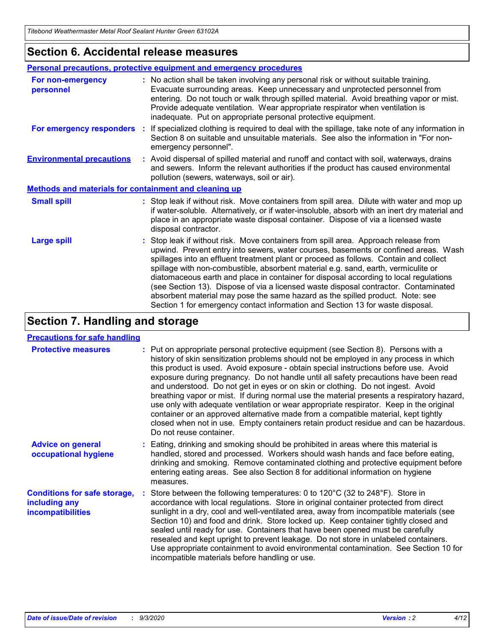### **Section 6. Accidental release measures**

| Personal precautions, protective equipment and emergency procedures |                                                                                                                                                                                                                                                                                                                                                                                                                                                                                                                                                                                                                                                                                                              |  |  |  |
|---------------------------------------------------------------------|--------------------------------------------------------------------------------------------------------------------------------------------------------------------------------------------------------------------------------------------------------------------------------------------------------------------------------------------------------------------------------------------------------------------------------------------------------------------------------------------------------------------------------------------------------------------------------------------------------------------------------------------------------------------------------------------------------------|--|--|--|
| For non-emergency<br>personnel                                      | : No action shall be taken involving any personal risk or without suitable training.<br>Evacuate surrounding areas. Keep unnecessary and unprotected personnel from<br>entering. Do not touch or walk through spilled material. Avoid breathing vapor or mist.<br>Provide adequate ventilation. Wear appropriate respirator when ventilation is<br>inadequate. Put on appropriate personal protective equipment.                                                                                                                                                                                                                                                                                             |  |  |  |
| For emergency responders                                            | : If specialized clothing is required to deal with the spillage, take note of any information in<br>Section 8 on suitable and unsuitable materials. See also the information in "For non-<br>emergency personnel".                                                                                                                                                                                                                                                                                                                                                                                                                                                                                           |  |  |  |
| <b>Environmental precautions</b>                                    | : Avoid dispersal of spilled material and runoff and contact with soil, waterways, drains<br>and sewers. Inform the relevant authorities if the product has caused environmental<br>pollution (sewers, waterways, soil or air).                                                                                                                                                                                                                                                                                                                                                                                                                                                                              |  |  |  |
| <b>Methods and materials for containment and cleaning up</b>        |                                                                                                                                                                                                                                                                                                                                                                                                                                                                                                                                                                                                                                                                                                              |  |  |  |
| <b>Small spill</b>                                                  | : Stop leak if without risk. Move containers from spill area. Dilute with water and mop up<br>if water-soluble. Alternatively, or if water-insoluble, absorb with an inert dry material and<br>place in an appropriate waste disposal container. Dispose of via a licensed waste<br>disposal contractor.                                                                                                                                                                                                                                                                                                                                                                                                     |  |  |  |
| <b>Large spill</b>                                                  | : Stop leak if without risk. Move containers from spill area. Approach release from<br>upwind. Prevent entry into sewers, water courses, basements or confined areas. Wash<br>spillages into an effluent treatment plant or proceed as follows. Contain and collect<br>spillage with non-combustible, absorbent material e.g. sand, earth, vermiculite or<br>diatomaceous earth and place in container for disposal according to local regulations<br>(see Section 13). Dispose of via a licensed waste disposal contractor. Contaminated<br>absorbent material may pose the same hazard as the spilled product. Note: see<br>Section 1 for emergency contact information and Section 13 for waste disposal. |  |  |  |

### **Section 7. Handling and storage**

#### **Precautions for safe handling**

| <b>Protective measures</b>                                                       | : Put on appropriate personal protective equipment (see Section 8). Persons with a<br>history of skin sensitization problems should not be employed in any process in which<br>this product is used. Avoid exposure - obtain special instructions before use. Avoid<br>exposure during pregnancy. Do not handle until all safety precautions have been read<br>and understood. Do not get in eyes or on skin or clothing. Do not ingest. Avoid<br>breathing vapor or mist. If during normal use the material presents a respiratory hazard,<br>use only with adequate ventilation or wear appropriate respirator. Keep in the original<br>container or an approved alternative made from a compatible material, kept tightly<br>closed when not in use. Empty containers retain product residue and can be hazardous.<br>Do not reuse container. |
|----------------------------------------------------------------------------------|--------------------------------------------------------------------------------------------------------------------------------------------------------------------------------------------------------------------------------------------------------------------------------------------------------------------------------------------------------------------------------------------------------------------------------------------------------------------------------------------------------------------------------------------------------------------------------------------------------------------------------------------------------------------------------------------------------------------------------------------------------------------------------------------------------------------------------------------------|
| <b>Advice on general</b><br>occupational hygiene                                 | : Eating, drinking and smoking should be prohibited in areas where this material is<br>handled, stored and processed. Workers should wash hands and face before eating,<br>drinking and smoking. Remove contaminated clothing and protective equipment before<br>entering eating areas. See also Section 8 for additional information on hygiene<br>measures.                                                                                                                                                                                                                                                                                                                                                                                                                                                                                    |
| <b>Conditions for safe storage,</b><br>including any<br><i>incompatibilities</i> | Store between the following temperatures: 0 to 120°C (32 to 248°F). Store in<br>accordance with local regulations. Store in original container protected from direct<br>sunlight in a dry, cool and well-ventilated area, away from incompatible materials (see<br>Section 10) and food and drink. Store locked up. Keep container tightly closed and<br>sealed until ready for use. Containers that have been opened must be carefully<br>resealed and kept upright to prevent leakage. Do not store in unlabeled containers.<br>Use appropriate containment to avoid environmental contamination. See Section 10 for<br>incompatible materials before handling or use.                                                                                                                                                                         |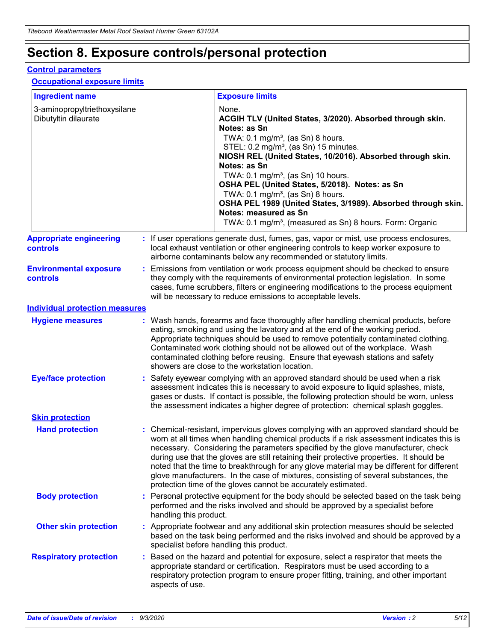# **Section 8. Exposure controls/personal protection**

#### **Control parameters**

#### **Occupational exposure limits**

| <b>Ingredient name</b>                               |    |                        | <b>Exposure limits</b>                                                                                                                                                                                                                                                                                                                                                                                                                                                                                                                                                                                                 |
|------------------------------------------------------|----|------------------------|------------------------------------------------------------------------------------------------------------------------------------------------------------------------------------------------------------------------------------------------------------------------------------------------------------------------------------------------------------------------------------------------------------------------------------------------------------------------------------------------------------------------------------------------------------------------------------------------------------------------|
| 3-aminopropyltriethoxysilane<br>Dibutyltin dilaurate |    |                        | None.<br>ACGIH TLV (United States, 3/2020). Absorbed through skin.<br>Notes: as Sn<br>TWA: $0.1 \text{ mg/m}^3$ , (as Sn) 8 hours.<br>STEL: 0.2 mg/m <sup>3</sup> , (as Sn) 15 minutes.<br>NIOSH REL (United States, 10/2016). Absorbed through skin.<br>Notes: as Sn<br>TWA: 0.1 mg/m <sup>3</sup> , (as Sn) 10 hours.<br>OSHA PEL (United States, 5/2018). Notes: as Sn<br>TWA: $0.1 \text{ mg/m}^3$ , (as Sn) 8 hours.<br>OSHA PEL 1989 (United States, 3/1989). Absorbed through skin.<br>Notes: measured as Sn<br>TWA: 0.1 mg/m <sup>3</sup> , (measured as Sn) 8 hours. Form: Organic                            |
| <b>Appropriate engineering</b><br>controls           |    |                        | : If user operations generate dust, fumes, gas, vapor or mist, use process enclosures,<br>local exhaust ventilation or other engineering controls to keep worker exposure to<br>airborne contaminants below any recommended or statutory limits.                                                                                                                                                                                                                                                                                                                                                                       |
| <b>Environmental exposure</b><br><b>controls</b>     |    |                        | Emissions from ventilation or work process equipment should be checked to ensure<br>they comply with the requirements of environmental protection legislation. In some<br>cases, fume scrubbers, filters or engineering modifications to the process equipment<br>will be necessary to reduce emissions to acceptable levels.                                                                                                                                                                                                                                                                                          |
| <b>Individual protection measures</b>                |    |                        |                                                                                                                                                                                                                                                                                                                                                                                                                                                                                                                                                                                                                        |
| <b>Hygiene measures</b>                              |    |                        | : Wash hands, forearms and face thoroughly after handling chemical products, before<br>eating, smoking and using the lavatory and at the end of the working period.<br>Appropriate techniques should be used to remove potentially contaminated clothing.<br>Contaminated work clothing should not be allowed out of the workplace. Wash<br>contaminated clothing before reusing. Ensure that eyewash stations and safety<br>showers are close to the workstation location.                                                                                                                                            |
| <b>Eye/face protection</b>                           |    |                        | Safety eyewear complying with an approved standard should be used when a risk<br>assessment indicates this is necessary to avoid exposure to liquid splashes, mists,<br>gases or dusts. If contact is possible, the following protection should be worn, unless<br>the assessment indicates a higher degree of protection: chemical splash goggles.                                                                                                                                                                                                                                                                    |
| <b>Skin protection</b>                               |    |                        |                                                                                                                                                                                                                                                                                                                                                                                                                                                                                                                                                                                                                        |
| <b>Hand protection</b>                               |    |                        | : Chemical-resistant, impervious gloves complying with an approved standard should be<br>worn at all times when handling chemical products if a risk assessment indicates this is<br>necessary. Considering the parameters specified by the glove manufacturer, check<br>during use that the gloves are still retaining their protective properties. It should be<br>noted that the time to breakthrough for any glove material may be different for different<br>glove manufacturers. In the case of mixtures, consisting of several substances, the<br>protection time of the gloves cannot be accurately estimated. |
| <b>Body protection</b>                               |    | handling this product. | Personal protective equipment for the body should be selected based on the task being<br>performed and the risks involved and should be approved by a specialist before                                                                                                                                                                                                                                                                                                                                                                                                                                                |
| <b>Other skin protection</b>                         |    |                        | Appropriate footwear and any additional skin protection measures should be selected<br>based on the task being performed and the risks involved and should be approved by a<br>specialist before handling this product.                                                                                                                                                                                                                                                                                                                                                                                                |
| <b>Respiratory protection</b>                        | ÷. | aspects of use.        | Based on the hazard and potential for exposure, select a respirator that meets the<br>appropriate standard or certification. Respirators must be used according to a<br>respiratory protection program to ensure proper fitting, training, and other important                                                                                                                                                                                                                                                                                                                                                         |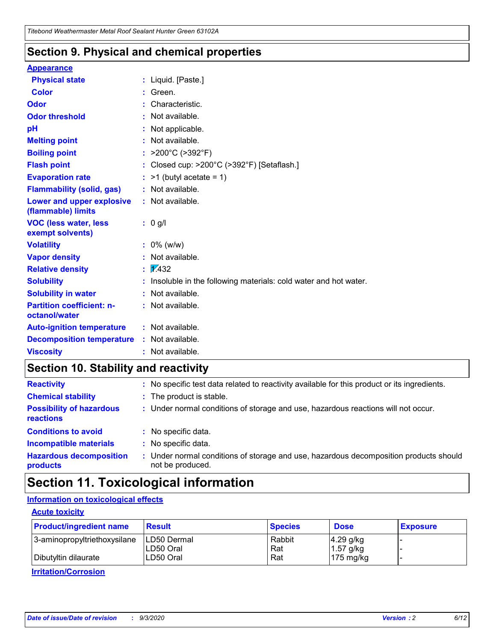### **Section 9. Physical and chemical properties**

#### **Appearance**

| <b>Physical state</b>                             |   | : Liquid. [Paste.]                                              |
|---------------------------------------------------|---|-----------------------------------------------------------------|
| <b>Color</b>                                      |   | Green.                                                          |
| Odor                                              |   | Characteristic.                                                 |
| <b>Odor threshold</b>                             | ÷ | Not available.                                                  |
| рH                                                |   | Not applicable.                                                 |
| <b>Melting point</b>                              |   | : Not available.                                                |
| <b>Boiling point</b>                              |   | >200°C (>392°F)                                                 |
| <b>Flash point</b>                                |   | Closed cup: >200°C (>392°F) [Setaflash.]                        |
| <b>Evaporation rate</b>                           |   | $:$ >1 (butyl acetate = 1)                                      |
| <b>Flammability (solid, gas)</b>                  |   | : Not available.                                                |
| Lower and upper explosive<br>(flammable) limits   |   | : Not available.                                                |
| <b>VOC (less water, less</b><br>exempt solvents)  |   | : 0 g/l                                                         |
| <b>Volatility</b>                                 |   | $: 0\%$ (w/w)                                                   |
| <b>Vapor density</b>                              |   | Not available.                                                  |
| <b>Relative density</b>                           |   | $\mathbf{1}$ $\mathbf{\sqrt{4}}$ 32                             |
| <b>Solubility</b>                                 |   | Insoluble in the following materials: cold water and hot water. |
| <b>Solubility in water</b>                        |   | Not available.                                                  |
| <b>Partition coefficient: n-</b><br>octanol/water |   | $:$ Not available.                                              |
| <b>Auto-ignition temperature</b>                  |   | : Not available.                                                |
| <b>Decomposition temperature</b>                  |   | : Not available.                                                |
| <b>Viscosity</b>                                  |   | : Not available.                                                |

### **Section 10. Stability and reactivity**

| <b>Reactivity</b>                            |    | : No specific test data related to reactivity available for this product or its ingredients.            |
|----------------------------------------------|----|---------------------------------------------------------------------------------------------------------|
| <b>Chemical stability</b>                    |    | : The product is stable.                                                                                |
| <b>Possibility of hazardous</b><br>reactions |    | : Under normal conditions of storage and use, hazardous reactions will not occur.                       |
| <b>Conditions to avoid</b>                   |    | : No specific data.                                                                                     |
| <b>Incompatible materials</b>                | ٠. | No specific data.                                                                                       |
| <b>Hazardous decomposition</b><br>products   | ÷. | Under normal conditions of storage and use, hazardous decomposition products should<br>not be produced. |

### **Section 11. Toxicological information**

#### **Information on toxicological effects**

#### **Acute toxicity**

| <b>Product/ingredient name</b> | <b>Result</b>           | <b>Species</b> | <b>Dose</b>                | <b>Exposure</b> |
|--------------------------------|-------------------------|----------------|----------------------------|-----------------|
| 3-aminopropyltriethoxysilane   | <b>ILD50 Dermal</b>     | Rabbit         | 4.29 g/kg                  |                 |
| Dibutyltin dilaurate           | ILD50 Oral<br>LD50 Oral | Rat<br>Rat     | $1.57$ g/kg<br>175 $mg/kg$ |                 |
|                                |                         |                |                            |                 |

**Irritation/Corrosion**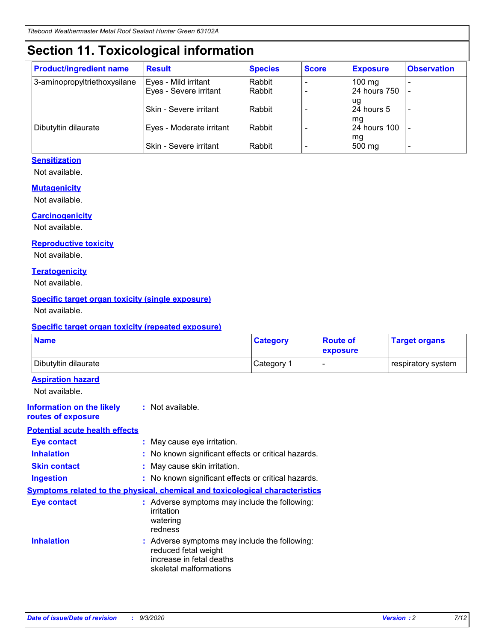# **Section 11. Toxicological information**

| <b>Product/ingredient name</b> | <b>Result</b>                 | <b>Species</b> | <b>Score</b> | <b>Exposure</b>    | <b>Observation</b>       |
|--------------------------------|-------------------------------|----------------|--------------|--------------------|--------------------------|
| 3-aminopropyltriethoxysilane   | Eyes - Mild irritant          | Rabbit         |              | $100 \text{ mg}$   |                          |
|                                | Eyes - Severe irritant        | Rabbit         |              | 24 hours 750       |                          |
|                                |                               |                |              | ug                 |                          |
|                                | <b>Skin - Severe irritant</b> | Rabbit         |              | 24 hours 5         | $\overline{\phantom{0}}$ |
| Dibutyltin dilaurate           | Eyes - Moderate irritant      | Rabbit         |              | mg<br>24 hours 100 |                          |
|                                |                               |                |              | mg                 |                          |
|                                | Skin - Severe irritant        | Rabbit         |              | 500 mg             | $\overline{\phantom{0}}$ |

#### **Sensitization**

Not available.

#### **Mutagenicity**

Not available.

#### **Carcinogenicity**

Not available.

#### **Reproductive toxicity**

Not available.

#### **Teratogenicity**

Not available.

#### **Specific target organ toxicity (single exposure)**

Not available.

#### **Specific target organ toxicity (repeated exposure)**

| <b>Name</b>                                                                         |                                                                            | <b>Category</b>                                     | <b>Route of</b><br>exposure | <b>Target organs</b> |  |  |
|-------------------------------------------------------------------------------------|----------------------------------------------------------------------------|-----------------------------------------------------|-----------------------------|----------------------|--|--|
| Dibutyltin dilaurate                                                                |                                                                            | Category 1                                          | -                           | respiratory system   |  |  |
| <b>Aspiration hazard</b><br>Not available.                                          |                                                                            |                                                     |                             |                      |  |  |
| <b>Information on the likely</b><br>routes of exposure                              | : Not available.                                                           |                                                     |                             |                      |  |  |
| <b>Potential acute health effects</b>                                               |                                                                            |                                                     |                             |                      |  |  |
| <b>Eye contact</b>                                                                  | : May cause eye irritation.                                                |                                                     |                             |                      |  |  |
| <b>Inhalation</b>                                                                   |                                                                            | : No known significant effects or critical hazards. |                             |                      |  |  |
| <b>Skin contact</b>                                                                 |                                                                            | : May cause skin irritation.                        |                             |                      |  |  |
| <b>Ingestion</b>                                                                    |                                                                            | : No known significant effects or critical hazards. |                             |                      |  |  |
| <b>Symptoms related to the physical, chemical and toxicological characteristics</b> |                                                                            |                                                     |                             |                      |  |  |
| <b>Eye contact</b>                                                                  | irritation<br>watering<br>redness                                          | : Adverse symptoms may include the following:       |                             |                      |  |  |
| <b>Inhalation</b>                                                                   | reduced fetal weight<br>increase in fetal deaths<br>skeletal malformations | : Adverse symptoms may include the following:       |                             |                      |  |  |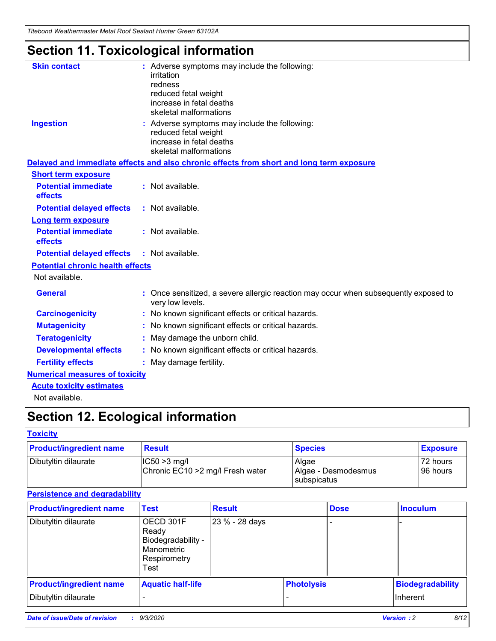*Titebond Weathermaster Metal Roof Sealant Hunter Green 63102A*

# **Section 11. Toxicological information**

| <b>Skin contact</b>                     |            | : Adverse symptoms may include the following:                                                                               |  |  |  |  |
|-----------------------------------------|------------|-----------------------------------------------------------------------------------------------------------------------------|--|--|--|--|
|                                         | irritation |                                                                                                                             |  |  |  |  |
|                                         | redness    | reduced fetal weight                                                                                                        |  |  |  |  |
|                                         |            | increase in fetal deaths                                                                                                    |  |  |  |  |
|                                         |            | skeletal malformations                                                                                                      |  |  |  |  |
| <b>Ingestion</b>                        |            | : Adverse symptoms may include the following:<br>reduced fetal weight<br>increase in fetal deaths<br>skeletal malformations |  |  |  |  |
|                                         |            | Delayed and immediate effects and also chronic effects from short and long term exposure                                    |  |  |  |  |
| <b>Short term exposure</b>              |            |                                                                                                                             |  |  |  |  |
| <b>Potential immediate</b><br>effects   |            | : Not available.                                                                                                            |  |  |  |  |
| <b>Potential delayed effects</b>        |            | : Not available.                                                                                                            |  |  |  |  |
| <b>Long term exposure</b>               |            |                                                                                                                             |  |  |  |  |
| <b>Potential immediate</b><br>effects   |            | : Not available.                                                                                                            |  |  |  |  |
| <b>Potential delayed effects</b>        |            | : Not available.                                                                                                            |  |  |  |  |
| <b>Potential chronic health effects</b> |            |                                                                                                                             |  |  |  |  |
| Not available.                          |            |                                                                                                                             |  |  |  |  |
| <b>General</b>                          |            | : Once sensitized, a severe allergic reaction may occur when subsequently exposed to<br>very low levels.                    |  |  |  |  |
| <b>Carcinogenicity</b>                  |            | No known significant effects or critical hazards.                                                                           |  |  |  |  |
| <b>Mutagenicity</b>                     |            | : No known significant effects or critical hazards.                                                                         |  |  |  |  |
| <b>Teratogenicity</b>                   |            | May damage the unborn child.                                                                                                |  |  |  |  |
| <b>Developmental effects</b>            |            | : No known significant effects or critical hazards.                                                                         |  |  |  |  |
| <b>Fertility effects</b>                |            | : May damage fertility.                                                                                                     |  |  |  |  |
| <b>Numerical measures of toxicity</b>   |            |                                                                                                                             |  |  |  |  |
| <b>Acute toxicity estimates</b>         |            |                                                                                                                             |  |  |  |  |
| Not ovoilable                           |            |                                                                                                                             |  |  |  |  |

Not available.

# **Section 12. Ecological information**

#### **Toxicity**

| <b>Product/ingredient name</b> | <b>Result</b>                                       | <b>Species</b>               | <b>Exposure</b>       |
|--------------------------------|-----------------------------------------------------|------------------------------|-----------------------|
| Dibutyltin dilaurate           | $ CC50>3$ mg/l<br>Chronic EC10 > 2 mg/l Fresh water | Algae<br>Algae - Desmodesmus | 72 hours<br>196 hours |
|                                |                                                     | <b>I</b> subspicatus         |                       |

#### **Persistence and degradability**

| <b>Product/ingredient name</b> | Test                                                                           | <b>Result</b>  |                   | <b>Dose</b> | <b>Inoculum</b>         |
|--------------------------------|--------------------------------------------------------------------------------|----------------|-------------------|-------------|-------------------------|
| Dibutyltin dilaurate           | OECD 301F<br>Ready<br>Biodegradability -<br>Manometric<br>Respirometry<br>Test | 23 % - 28 days |                   |             |                         |
| <b>Product/ingredient name</b> | <b>Aquatic half-life</b>                                                       |                | <b>Photolysis</b> |             | <b>Biodegradability</b> |
| Dibutyltin dilaurate           |                                                                                |                |                   |             | Inherent                |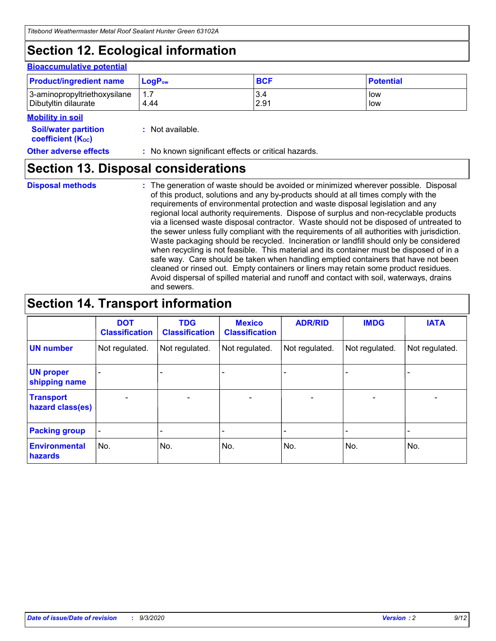# **Section 12. Ecological information**

#### **Bioaccumulative potential**

| <b>Product/ingredient name</b> | $\mathsf{LogP}_\mathsf{ow}$ | <b>BCF</b> | <b>Potential</b> |
|--------------------------------|-----------------------------|------------|------------------|
| 3-aminopropyltriethoxysilane   | 1.7                         | 3.4        | low              |
| Dibutyltin dilaurate           | 4.44                        | 2.91       | low              |

#### **Mobility in soil**

| <b>INVANILY III JUIL</b>                                      |                                                     |
|---------------------------------------------------------------|-----------------------------------------------------|
| <b>Soil/water partition</b><br>coefficient (K <sub>oc</sub> ) | : Not available.                                    |
| <b>Other adverse effects</b>                                  | : No known significant effects or critical hazards. |

### **Section 13. Disposal considerations**

**Disposal methods :**

The generation of waste should be avoided or minimized wherever possible. Disposal of this product, solutions and any by-products should at all times comply with the requirements of environmental protection and waste disposal legislation and any regional local authority requirements. Dispose of surplus and non-recyclable products via a licensed waste disposal contractor. Waste should not be disposed of untreated to the sewer unless fully compliant with the requirements of all authorities with jurisdiction. Waste packaging should be recycled. Incineration or landfill should only be considered when recycling is not feasible. This material and its container must be disposed of in a safe way. Care should be taken when handling emptied containers that have not been cleaned or rinsed out. Empty containers or liners may retain some product residues. Avoid dispersal of spilled material and runoff and contact with soil, waterways, drains and sewers.

# **Section 14. Transport information**

|                                      | <b>DOT</b><br><b>Classification</b> | <b>TDG</b><br><b>Classification</b> | <b>Mexico</b><br><b>Classification</b> | <b>ADR/RID</b>           | <b>IMDG</b>              | <b>IATA</b>    |
|--------------------------------------|-------------------------------------|-------------------------------------|----------------------------------------|--------------------------|--------------------------|----------------|
| <b>UN number</b>                     | Not regulated.                      | Not regulated.                      | Not regulated.                         | Not regulated.           | Not regulated.           | Not regulated. |
| <b>UN proper</b><br>shipping name    |                                     |                                     |                                        |                          |                          |                |
| <b>Transport</b><br>hazard class(es) |                                     | $\overline{\phantom{0}}$            | $\qquad \qquad \blacksquare$           | $\overline{\phantom{0}}$ | $\overline{\phantom{0}}$ |                |
| <b>Packing group</b>                 |                                     |                                     |                                        |                          |                          |                |
| <b>Environmental</b><br>hazards      | No.                                 | No.                                 | No.                                    | No.                      | No.                      | No.            |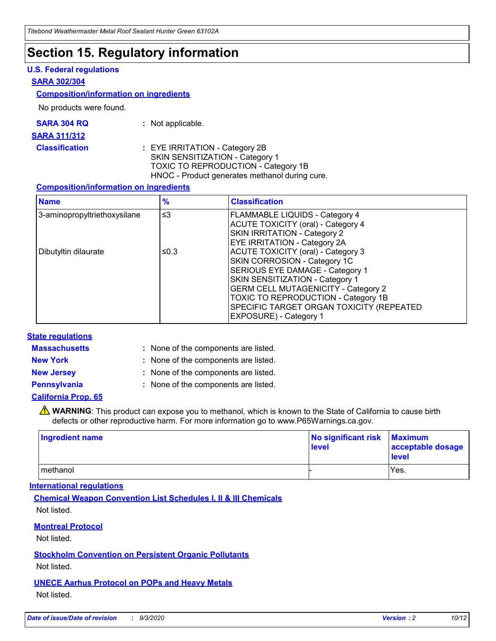### **Section 15. Regulatory information**

#### **U.S. Federal regulations**

#### **SARA 302/304**

#### **Composition/information on ingredients**

No products were found.

| SARA 304 RQ | $\cdot$ Not applicable. |
|-------------|-------------------------|
|             |                         |

#### **SARA 311/312**

**Classification :** EYE IRRITATION - Category 2B SKIN SENSITIZATION - Category 1 TOXIC TO REPRODUCTION - Category 1B HNOC - Product generates methanol during cure.

#### **Composition/information on ingredients**

| <b>Name</b>                  | $\frac{9}{6}$ | <b>Classification</b>                                                                                                                                                                                                                                                                                      |
|------------------------------|---------------|------------------------------------------------------------------------------------------------------------------------------------------------------------------------------------------------------------------------------------------------------------------------------------------------------------|
| 3-aminopropyltriethoxysilane | $\leq$ 3      | <b>FLAMMABLE LIQUIDS - Category 4</b><br><b>ACUTE TOXICITY (oral) - Category 4</b><br>SKIN IRRITATION - Category 2<br>EYE IRRITATION - Category 2A                                                                                                                                                         |
| Dibutyltin dilaurate         | ≤0.3          | <b>ACUTE TOXICITY (oral) - Category 3</b><br>SKIN CORROSION - Category 1C<br>SERIOUS EYE DAMAGE - Category 1<br>SKIN SENSITIZATION - Category 1<br><b>GERM CELL MUTAGENICITY - Category 2</b><br>TOXIC TO REPRODUCTION - Category 1B<br>SPECIFIC TARGET ORGAN TOXICITY (REPEATED<br>EXPOSURE) - Category 1 |

#### **State regulations**

**Massachusetts :**

: None of the components are listed.

**New York :** None of the components are listed.

**New Jersey :** None of the components are listed.

**Pennsylvania :** None of the components are listed.

#### **California Prop. 65**

WARNING: This product can expose you to methanol, which is known to the State of California to cause birth defects or other reproductive harm. For more information go to www.P65Warnings.ca.gov.

| Ingredient name | No significant risk<br>level | <b>Maximum</b><br>acceptable dosage<br>level |
|-----------------|------------------------------|----------------------------------------------|
| methanol        |                              | Yes.                                         |

#### **International regulations**

**Chemical Weapon Convention List Schedules I, II & III Chemicals** Not listed.

#### **Montreal Protocol**

Not listed.

**Stockholm Convention on Persistent Organic Pollutants**

Not listed.

#### **UNECE Aarhus Protocol on POPs and Heavy Metals** Not listed.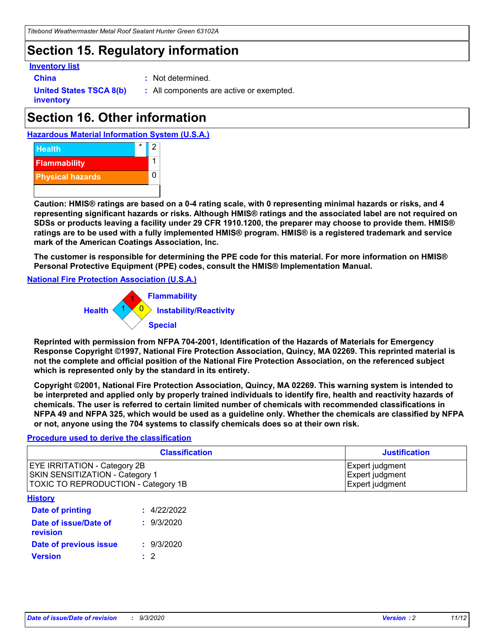# **Section 15. Regulatory information**

#### **Inventory list**

- 
- **China :** Not determined.

**United States TSCA 8(b) inventory**

**:** All components are active or exempted.

# **Section 16. Other information**





**Caution: HMIS® ratings are based on a 0-4 rating scale, with 0 representing minimal hazards or risks, and 4 representing significant hazards or risks. Although HMIS® ratings and the associated label are not required on SDSs or products leaving a facility under 29 CFR 1910.1200, the preparer may choose to provide them. HMIS® ratings are to be used with a fully implemented HMIS® program. HMIS® is a registered trademark and service mark of the American Coatings Association, Inc.**

**The customer is responsible for determining the PPE code for this material. For more information on HMIS® Personal Protective Equipment (PPE) codes, consult the HMIS® Implementation Manual.**

**National Fire Protection Association (U.S.A.)**



**Reprinted with permission from NFPA 704-2001, Identification of the Hazards of Materials for Emergency Response Copyright ©1997, National Fire Protection Association, Quincy, MA 02269. This reprinted material is not the complete and official position of the National Fire Protection Association, on the referenced subject which is represented only by the standard in its entirety.**

**Copyright ©2001, National Fire Protection Association, Quincy, MA 02269. This warning system is intended to be interpreted and applied only by properly trained individuals to identify fire, health and reactivity hazards of chemicals. The user is referred to certain limited number of chemicals with recommended classifications in NFPA 49 and NFPA 325, which would be used as a guideline only. Whether the chemicals are classified by NFPA or not, anyone using the 704 systems to classify chemicals does so at their own risk.**

#### **Procedure used to derive the classification**

| <b>Classification</b>                                                                                                | <b>Justification</b>                                  |
|----------------------------------------------------------------------------------------------------------------------|-------------------------------------------------------|
| <b>EYE IRRITATION - Category 2B</b><br><b>SKIN SENSITIZATION - Category 1</b><br>TOXIC TO REPRODUCTION - Category 1B | Expert judgment<br>Expert judgment<br>Expert judgment |
| <b>History</b>                                                                                                       |                                                       |

| <b>Date of printing</b>           | : 4/22/2022 |
|-----------------------------------|-------------|
| Date of issue/Date of<br>revision | : 9/3/2020  |
| Date of previous issue            | : 9/3/2020  |
| <b>Version</b>                    | $\cdot$ 2   |
|                                   |             |